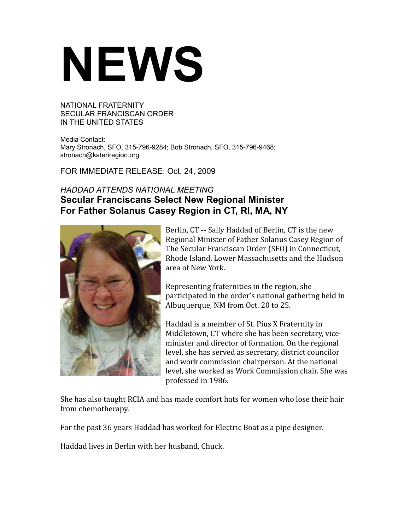## **NEWS**

NATIONAL FRATERNITY SECULAR FRANCISCAN ORDER IN THE UNITED STATES

Media Contact: Mary Stronach, SFO, 315-796-9284; Bob Stronach, SFO, 315-796-9468; stronach@kateriregion.org

FOR IMMEDIATE RELEASE: Oct. 24, 2009

## *HADDAD ATTENDS NATIONAL MEETING* **Secular Franciscans Select New Regional Minister For Father Solanus Casey Region in CT, RI, MA, NY**



Berlin, CT -- Sally Haddad of Berlin, CT is the new Regional Minister of Father Solanus Casey Region of The Secular Franciscan Order (SFO) in Connecticut, Rhode Island, Lower Massachusetts and the Hudson area of New York.

Representing fraternities in the region, she participated in the order's national gathering held in Albuquerque, NM from Oct. 20 to 25.

Haddad is a member of St. Pius X Fraternity in Middletown, CT where she has been secretary, viceminister and director of formation. On the regional level, she has served as secretary, district councilor and work commission chairperson. At the national level, she worked as Work Commission chair. She was professed in 1986.

She has also taught RCIA and has made comfort hats for women who lose their hair from chemotherapy.

For the past 36 years Haddad has worked for Electric Boat as a pipe designer.

Haddad lives in Berlin with her husband, Chuck.